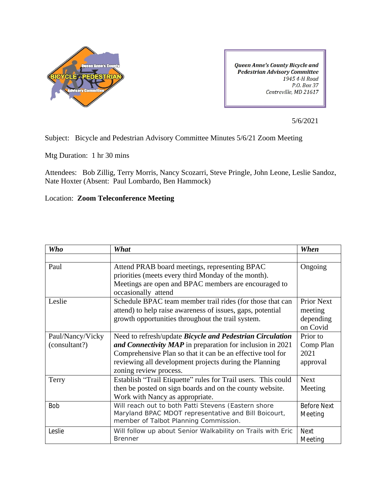

**Queen Anne's County Bicycle and Pedestrian Advisory Committee** 1945 4-H Road P.O. Box 37 Centreville, MD 21617

5/6/2021

Subject: Bicycle and Pedestrian Advisory Committee Minutes 5/6/21 Zoom Meeting

Mtg Duration: 1 hr 30 mins

Attendees: Bob Zillig, Terry Morris, Nancy Scozarri, Steve Pringle, John Leone, Leslie Sandoz, Nate Hoxter (Absent: Paul Lombardo, Ben Hammock)

Location: **Zoom Teleconference Meeting** 

| <b>Who</b>       | What                                                                        | When               |
|------------------|-----------------------------------------------------------------------------|--------------------|
|                  |                                                                             |                    |
| Paul             | Attend PRAB board meetings, representing BPAC                               | Ongoing            |
|                  | priorities (meets every third Monday of the month).                         |                    |
|                  | Meetings are open and BPAC members are encouraged to<br>occasionally attend |                    |
| Leslie           | Schedule BPAC team member trail rides (for those that can                   | <b>Prior Next</b>  |
|                  | attend) to help raise awareness of issues, gaps, potential                  | meeting            |
|                  | growth opportunities throughout the trail system.                           | depending          |
|                  |                                                                             | on Covid           |
| Paul/Nancy/Vicky | Need to refresh/update <i>Bicycle and Pedestrian Circulation</i>            | Prior to           |
| (consultant?)    | and Connectivity MAP in preparation for inclusion in 2021                   | Comp Plan          |
|                  | Comprehensive Plan so that it can be an effective tool for                  | 2021               |
|                  | reviewing all development projects during the Planning                      | approval           |
|                  | zoning review process.                                                      |                    |
| Terry            | Establish "Trail Etiquette" rules for Trail users. This could               | <b>Next</b>        |
|                  | then be posted on sign boards and on the county website.                    | Meeting            |
|                  | Work with Nancy as appropriate.                                             |                    |
| <b>Bob</b>       | Will reach out to both Patti Stevens (Eastern shore                         | <b>Before Next</b> |
|                  | Maryland BPAC MDOT representative and Bill Boicourt,                        | Meeting            |
|                  | member of Talbot Planning Commission.                                       |                    |
| Leslie           | Will follow up about Senior Walkability on Trails with Eric                 | <b>Next</b>        |
|                  | <b>Brenner</b>                                                              | Meeting            |